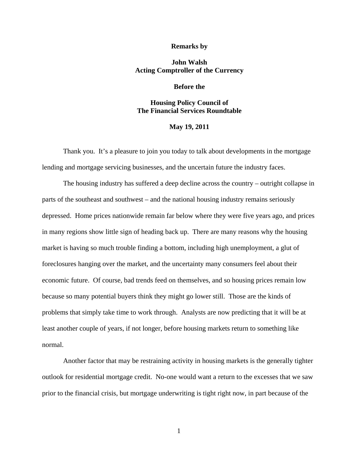#### **Remarks by**

# **John Walsh Acting Comptroller of the Currency**

### **Before the**

# **Housing Policy Council of The Financial Services Roundtable**

### **May 19, 2011**

Thank you. It's a pleasure to join you today to talk about developments in the mortgage lending and mortgage servicing businesses, and the uncertain future the industry faces.

The housing industry has suffered a deep decline across the country – outright collapse in parts of the southeast and southwest – and the national housing industry remains seriously depressed. Home prices nationwide remain far below where they were five years ago, and prices in many regions show little sign of heading back up. There are many reasons why the housing market is having so much trouble finding a bottom, including high unemployment, a glut of foreclosures hanging over the market, and the uncertainty many consumers feel about their economic future. Of course, bad trends feed on themselves, and so housing prices remain low because so many potential buyers think they might go lower still. Those are the kinds of problems that simply take time to work through. Analysts are now predicting that it will be at least another couple of years, if not longer, before housing markets return to something like normal.

Another factor that may be restraining activity in housing markets is the generally tighter outlook for residential mortgage credit. No-one would want a return to the excesses that we saw prior to the financial crisis, but mortgage underwriting is tight right now, in part because of the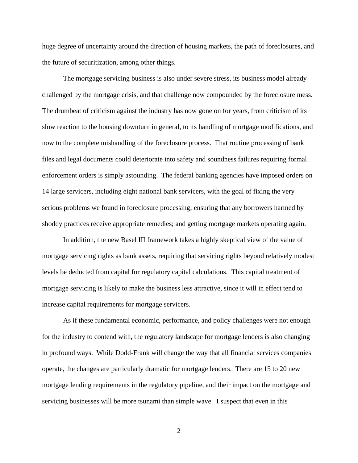huge degree of uncertainty around the direction of housing markets, the path of foreclosures, and the future of securitization, among other things.

The mortgage servicing business is also under severe stress, its business model already challenged by the mortgage crisis, and that challenge now compounded by the foreclosure mess. The drumbeat of criticism against the industry has now gone on for years, from criticism of its slow reaction to the housing downturn in general, to its handling of mortgage modifications, and now to the complete mishandling of the foreclosure process. That routine processing of bank files and legal documents could deteriorate into safety and soundness failures requiring formal enforcement orders is simply astounding. The federal banking agencies have imposed orders on 14 large servicers, including eight national bank servicers, with the goal of fixing the very serious problems we found in foreclosure processing; ensuring that any borrowers harmed by shoddy practices receive appropriate remedies; and getting mortgage markets operating again.

In addition, the new Basel III framework takes a highly skeptical view of the value of mortgage servicing rights as bank assets, requiring that servicing rights beyond relatively modest levels be deducted from capital for regulatory capital calculations. This capital treatment of mortgage servicing is likely to make the business less attractive, since it will in effect tend to increase capital requirements for mortgage servicers.

As if these fundamental economic, performance, and policy challenges were not enough for the industry to contend with, the regulatory landscape for mortgage lenders is also changing in profound ways. While Dodd-Frank will change the way that all financial services companies operate, the changes are particularly dramatic for mortgage lenders. There are 15 to 20 new mortgage lending requirements in the regulatory pipeline, and their impact on the mortgage and servicing businesses will be more tsunami than simple wave. I suspect that even in this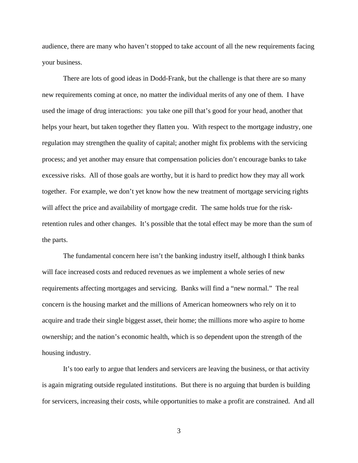audience, there are many who haven't stopped to take account of all the new requirements facing your business.

There are lots of good ideas in Dodd-Frank, but the challenge is that there are so many new requirements coming at once, no matter the individual merits of any one of them. I have used the image of drug interactions: you take one pill that's good for your head, another that helps your heart, but taken together they flatten you. With respect to the mortgage industry, one regulation may strengthen the quality of capital; another might fix problems with the servicing process; and yet another may ensure that compensation policies don't encourage banks to take excessive risks. All of those goals are worthy, but it is hard to predict how they may all work together. For example, we don't yet know how the new treatment of mortgage servicing rights will affect the price and availability of mortgage credit. The same holds true for the riskretention rules and other changes. It's possible that the total effect may be more than the sum of the parts.

The fundamental concern here isn't the banking industry itself, although I think banks will face increased costs and reduced revenues as we implement a whole series of new requirements affecting mortgages and servicing. Banks will find a "new normal." The real concern is the housing market and the millions of American homeowners who rely on it to acquire and trade their single biggest asset, their home; the millions more who aspire to home ownership; and the nation's economic health, which is so dependent upon the strength of the housing industry.

It's too early to argue that lenders and servicers are leaving the business, or that activity is again migrating outside regulated institutions. But there is no arguing that burden is building for servicers, increasing their costs, while opportunities to make a profit are constrained. And all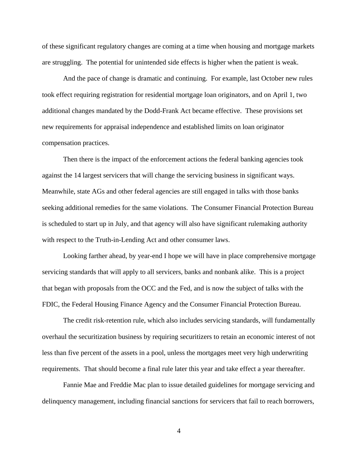of these significant regulatory changes are coming at a time when housing and mortgage markets are struggling. The potential for unintended side effects is higher when the patient is weak.

And the pace of change is dramatic and continuing. For example, last October new rules took effect requiring registration for residential mortgage loan originators, and on April 1, two additional changes mandated by the Dodd-Frank Act became effective. These provisions set new requirements for appraisal independence and established limits on loan originator compensation practices.

Then there is the impact of the enforcement actions the federal banking agencies took against the 14 largest servicers that will change the servicing business in significant ways. Meanwhile, state AGs and other federal agencies are still engaged in talks with those banks seeking additional remedies for the same violations. The Consumer Financial Protection Bureau is scheduled to start up in July, and that agency will also have significant rulemaking authority with respect to the Truth-in-Lending Act and other consumer laws.

Looking farther ahead, by year-end I hope we will have in place comprehensive mortgage servicing standards that will apply to all servicers, banks and nonbank alike. This is a project that began with proposals from the OCC and the Fed, and is now the subject of talks with the FDIC, the Federal Housing Finance Agency and the Consumer Financial Protection Bureau.

The credit risk-retention rule, which also includes servicing standards, will fundamentally overhaul the securitization business by requiring securitizers to retain an economic interest of not less than five percent of the assets in a pool, unless the mortgages meet very high underwriting requirements. That should become a final rule later this year and take effect a year thereafter.

Fannie Mae and Freddie Mac plan to issue detailed guidelines for mortgage servicing and delinquency management, including financial sanctions for servicers that fail to reach borrowers,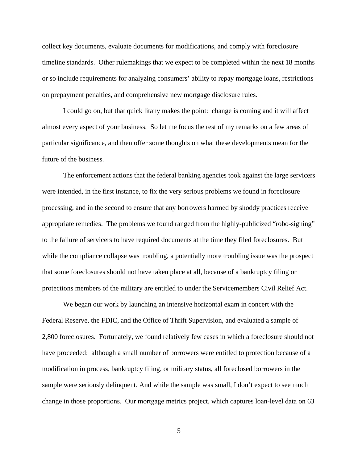collect key documents, evaluate documents for modifications, and comply with foreclosure timeline standards. Other rulemakings that we expect to be completed within the next 18 months or so include requirements for analyzing consumers' ability to repay mortgage loans, restrictions on prepayment penalties, and comprehensive new mortgage disclosure rules.

I could go on, but that quick litany makes the point: change is coming and it will affect almost every aspect of your business. So let me focus the rest of my remarks on a few areas of particular significance, and then offer some thoughts on what these developments mean for the future of the business.

The enforcement actions that the federal banking agencies took against the large servicers were intended, in the first instance, to fix the very serious problems we found in foreclosure processing, and in the second to ensure that any borrowers harmed by shoddy practices receive appropriate remedies. The problems we found ranged from the highly-publicized "robo-signing" to the failure of servicers to have required documents at the time they filed foreclosures. But while the compliance collapse was troubling, a potentially more troubling issue was the prospect that some foreclosures should not have taken place at all, because of a bankruptcy filing or protections members of the military are entitled to under the Servicemembers Civil Relief Act.

We began our work by launching an intensive horizontal exam in concert with the Federal Reserve, the FDIC, and the Office of Thrift Supervision, and evaluated a sample of 2,800 foreclosures. Fortunately, we found relatively few cases in which a foreclosure should not have proceeded: although a small number of borrowers were entitled to protection because of a modification in process, bankruptcy filing, or military status, all foreclosed borrowers in the sample were seriously delinquent. And while the sample was small, I don't expect to see much change in those proportions. Our mortgage metrics project, which captures loan-level data on 63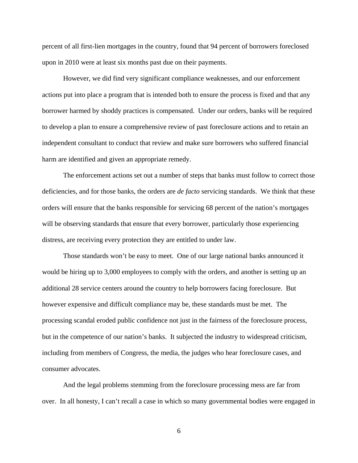percent of all first-lien mortgages in the country, found that 94 percent of borrowers foreclosed upon in 2010 were at least six months past due on their payments.

However, we did find very significant compliance weaknesses, and our enforcement actions put into place a program that is intended both to ensure the process is fixed and that any borrower harmed by shoddy practices is compensated. Under our orders, banks will be required to develop a plan to ensure a comprehensive review of past foreclosure actions and to retain an independent consultant to conduct that review and make sure borrowers who suffered financial harm are identified and given an appropriate remedy.

The enforcement actions set out a number of steps that banks must follow to correct those deficiencies, and for those banks, the orders are *de facto* servicing standards. We think that these orders will ensure that the banks responsible for servicing 68 percent of the nation's mortgages will be observing standards that ensure that every borrower, particularly those experiencing distress, are receiving every protection they are entitled to under law.

Those standards won't be easy to meet. One of our large national banks announced it would be hiring up to 3,000 employees to comply with the orders, and another is setting up an additional 28 service centers around the country to help borrowers facing foreclosure. But however expensive and difficult compliance may be, these standards must be met. The processing scandal eroded public confidence not just in the fairness of the foreclosure process, but in the competence of our nation's banks. It subjected the industry to widespread criticism, including from members of Congress, the media, the judges who hear foreclosure cases, and consumer advocates.

And the legal problems stemming from the foreclosure processing mess are far from over. In all honesty, I can't recall a case in which so many governmental bodies were engaged in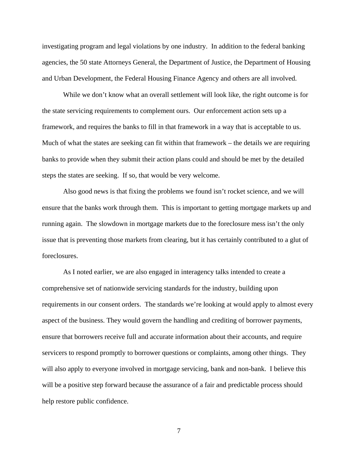investigating program and legal violations by one industry. In addition to the federal banking agencies, the 50 state Attorneys General, the Department of Justice, the Department of Housing and Urban Development, the Federal Housing Finance Agency and others are all involved.

While we don't know what an overall settlement will look like, the right outcome is for the state servicing requirements to complement ours. Our enforcement action sets up a framework, and requires the banks to fill in that framework in a way that is acceptable to us. Much of what the states are seeking can fit within that framework – the details we are requiring banks to provide when they submit their action plans could and should be met by the detailed steps the states are seeking. If so, that would be very welcome.

Also good news is that fixing the problems we found isn't rocket science, and we will ensure that the banks work through them. This is important to getting mortgage markets up and running again. The slowdown in mortgage markets due to the foreclosure mess isn't the only issue that is preventing those markets from clearing, but it has certainly contributed to a glut of foreclosures.

As I noted earlier, we are also engaged in interagency talks intended to create a comprehensive set of nationwide servicing standards for the industry, building upon requirements in our consent orders. The standards we're looking at would apply to almost every aspect of the business. They would govern the handling and crediting of borrower payments, ensure that borrowers receive full and accurate information about their accounts, and require servicers to respond promptly to borrower questions or complaints, among other things. They will also apply to everyone involved in mortgage servicing, bank and non-bank. I believe this will be a positive step forward because the assurance of a fair and predictable process should help restore public confidence.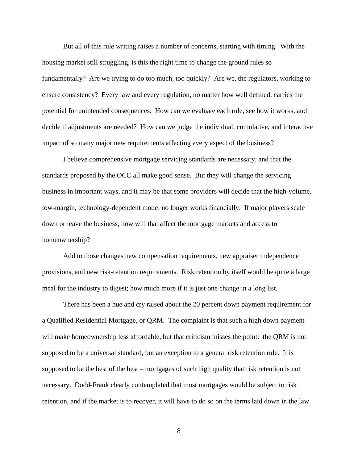But all of this rule writing raises a number of concerns, starting with timing. With the housing market still struggling, is this the right time to change the ground rules so fundamentally? Are we trying to do too much, too quickly? Are we, the regulators, working to ensure consistency? Every law and every regulation, no matter how well defined, carries the potential for unintended consequences. How can we evaluate each rule, see how it works, and decide if adjustments are needed? How can we judge the individual, cumulative, and interactive impact of so many major new requirements affecting every aspect of the business?

I believe comprehensive mortgage servicing standards are necessary, and that the standards proposed by the OCC all make good sense. But they will change the servicing business in important ways, and it may be that some providers will decide that the high-volume, low-margin, technology-dependent model no longer works financially. If major players scale down or leave the business, how will that affect the mortgage markets and access to homeownership?

Add to those changes new compensation requirements, new appraiser independence provisions, and new risk-retention requirements. Risk retention by itself would be quite a large meal for the industry to digest; how much more if it is just one change in a long list.

There has been a hue and cry raised about the 20 percent down payment requirement for a Qualified Residential Mortgage, or QRM. The complaint is that such a high down payment will make homeownership less affordable, but that criticism misses the point: the QRM is not supposed to be a universal standard, but an exception to a general risk retention rule. It is supposed to be the best of the best – mortgages of such high quality that risk retention is not necessary. Dodd-Frank clearly contemplated that most mortgages would be subject to risk retention, and if the market is to recover, it will have to do so on the terms laid down in the law.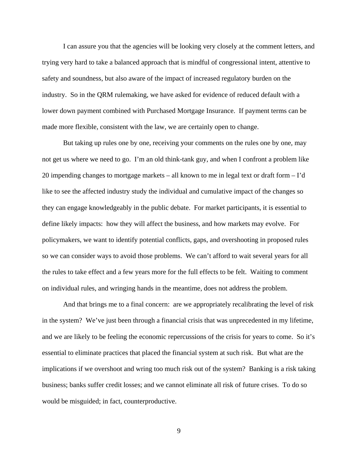I can assure you that the agencies will be looking very closely at the comment letters, and trying very hard to take a balanced approach that is mindful of congressional intent, attentive to safety and soundness, but also aware of the impact of increased regulatory burden on the industry. So in the QRM rulemaking, we have asked for evidence of reduced default with a lower down payment combined with Purchased Mortgage Insurance. If payment terms can be made more flexible, consistent with the law, we are certainly open to change.

But taking up rules one by one, receiving your comments on the rules one by one, may not get us where we need to go. I'm an old think-tank guy, and when I confront a problem like 20 impending changes to mortgage markets – all known to me in legal text or draft form – I'd like to see the affected industry study the individual and cumulative impact of the changes so they can engage knowledgeably in the public debate. For market participants, it is essential to define likely impacts: how they will affect the business, and how markets may evolve. For policymakers, we want to identify potential conflicts, gaps, and overshooting in proposed rules so we can consider ways to avoid those problems. We can't afford to wait several years for all the rules to take effect and a few years more for the full effects to be felt. Waiting to comment on individual rules, and wringing hands in the meantime, does not address the problem.

And that brings me to a final concern: are we appropriately recalibrating the level of risk in the system? We've just been through a financial crisis that was unprecedented in my lifetime, and we are likely to be feeling the economic repercussions of the crisis for years to come. So it's essential to eliminate practices that placed the financial system at such risk. But what are the implications if we overshoot and wring too much risk out of the system? Banking is a risk taking business; banks suffer credit losses; and we cannot eliminate all risk of future crises. To do so would be misguided; in fact, counterproductive.